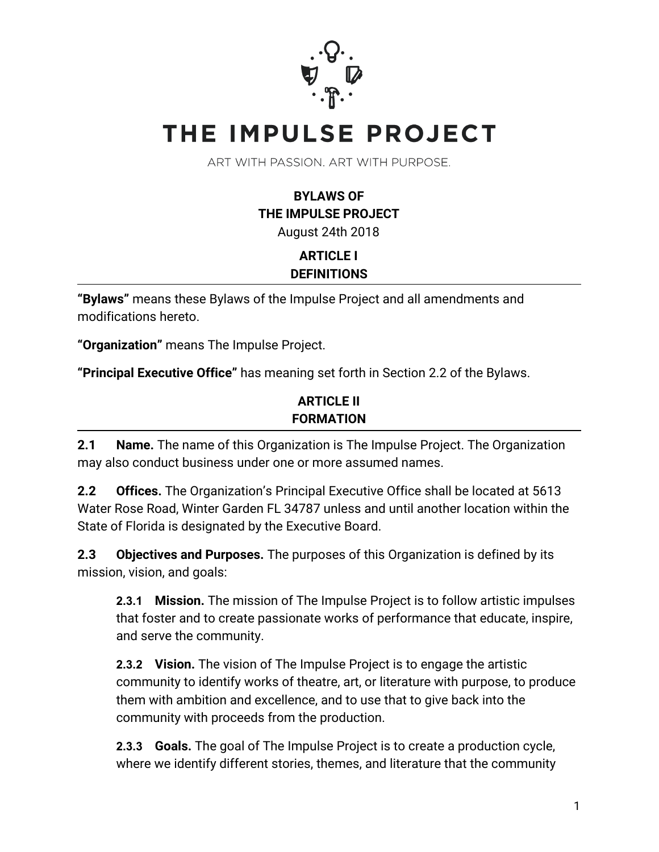

# THE IMPULSE PROJECT

ART WITH PASSION, ART WITH PURPOSE.

**BYLAWS OF THE IMPULSE PROJECT** August 24th 2018

# **ARTICLE I DEFINITIONS**

**"Bylaws"** means these Bylaws of the Impulse Project and all amendments and modifications hereto.

**"Organization"** means The Impulse Project.

**"Principal Executive Office"** has meaning set forth in Section 2.2 of the Bylaws.

#### **ARTICLE II FORMATION**

**2.1 Name.** The name of this Organization is The Impulse Project. The Organization may also conduct business under one or more assumed names.

**2.2 Offices.** The Organization's Principal Executive Office shall be located at 5613 Water Rose Road, Winter Garden FL 34787 unless and until another location within the State of Florida is designated by the Executive Board.

**2.3 Objectives and Purposes.** The purposes of this Organization is defined by its mission, vision, and goals:

**2.3.1 Mission.** The mission of The Impulse Project is to follow artistic impulses that foster and to create passionate works of performance that educate, inspire, and serve the community.

**2.3.2 Vision.** The vision of The Impulse Project is to engage the artistic community to identify works of theatre, art, or literature with purpose, to produce them with ambition and excellence, and to use that to give back into the community with proceeds from the production.

**2.3.3 Goals.** The goal of The Impulse Project is to create a production cycle, where we identify different stories, themes, and literature that the community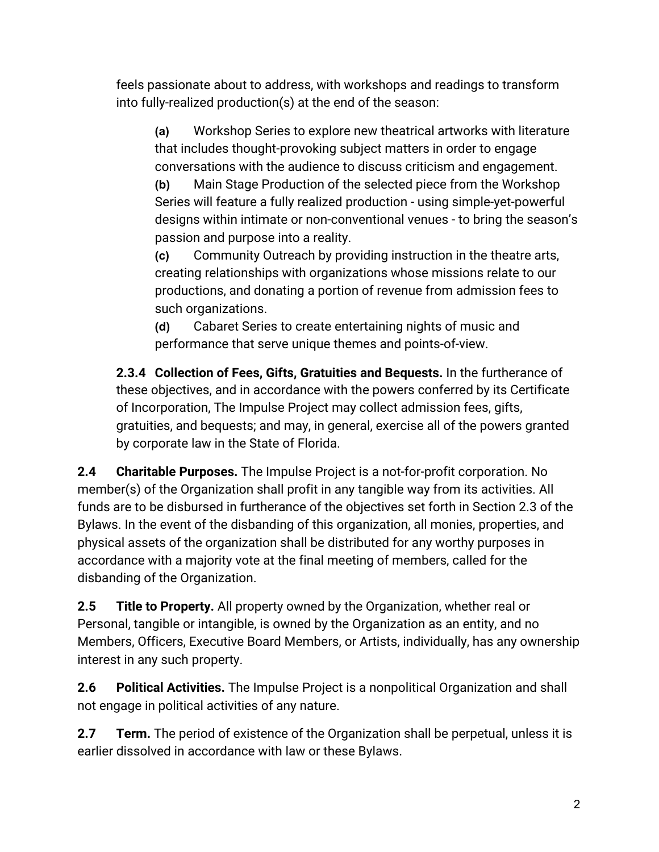feels passionate about to address, with workshops and readings to transform into fully-realized production(s) at the end of the season:

**(a)** Workshop Series to explore new theatrical artworks with literature that includes thought-provoking subject matters in order to engage conversations with the audience to discuss criticism and engagement.

**(b)** Main Stage Production of the selected piece from the Workshop Series will feature a fully realized production - using simple-yet-powerful designs within intimate or non-conventional venues - to bring the season's passion and purpose into a reality.

**(c)** Community Outreach by providing instruction in the theatre arts, creating relationships with organizations whose missions relate to our productions, and donating a portion of revenue from admission fees to such organizations.

**(d)** Cabaret Series to create entertaining nights of music and performance that serve unique themes and points-of-view.

**2.3.4 Collection of Fees, Gifts, Gratuities and Bequests.** In the furtherance of these objectives, and in accordance with the powers conferred by its Certificate of Incorporation, The Impulse Project may collect admission fees, gifts, gratuities, and bequests; and may, in general, exercise all of the powers granted by corporate law in the State of Florida.

**2.4 Charitable Purposes.** The Impulse Project is a not-for-profit corporation. No member(s) of the Organization shall profit in any tangible way from its activities. All funds are to be disbursed in furtherance of the objectives set forth in Section 2.3 of the Bylaws. In the event of the disbanding of this organization, all monies, properties, and physical assets of the organization shall be distributed for any worthy purposes in accordance with a majority vote at the final meeting of members, called for the disbanding of the Organization.

**2.5 Title to Property.** All property owned by the Organization, whether real or Personal, tangible or intangible, is owned by the Organization as an entity, and no Members, Officers, Executive Board Members, or Artists, individually, has any ownership interest in any such property.

**2.6 Political Activities.** The Impulse Project is a nonpolitical Organization and shall not engage in political activities of any nature.

**2.7 Term.** The period of existence of the Organization shall be perpetual, unless it is earlier dissolved in accordance with law or these Bylaws.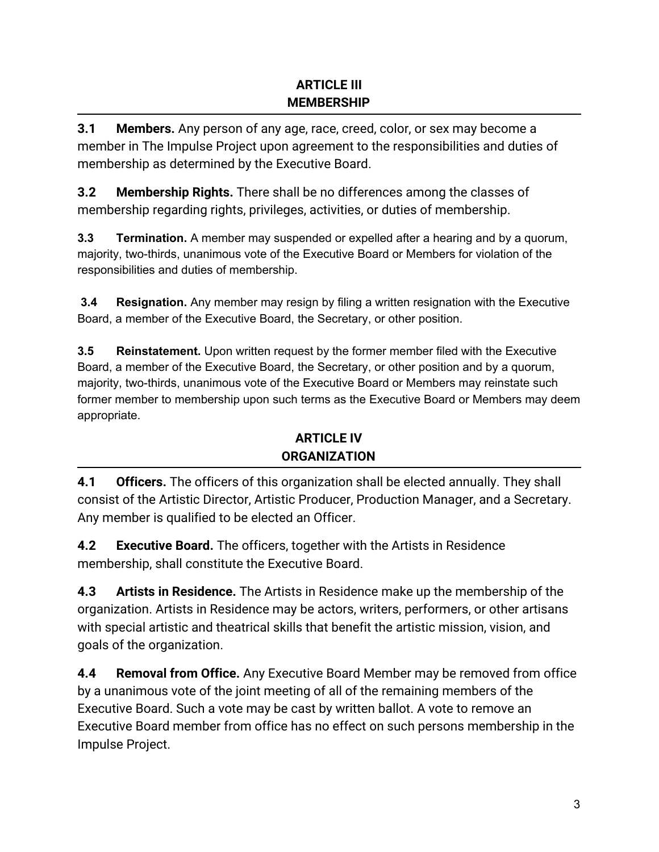#### **ARTICLE III MEMBERSHIP**

**3.1 Members.** Any person of any age, race, creed, color, or sex may become a member in The Impulse Project upon agreement to the responsibilities and duties of membership as determined by the Executive Board.

**3.2 Membership Rights.** There shall be no differences among the classes of membership regarding rights, privileges, activities, or duties of membership.

**3.3 Termination.** A member may suspended or expelled after a hearing and by a quorum, majority, two-thirds, unanimous vote of the Executive Board or Members for violation of the responsibilities and duties of membership.

**3.4 Resignation.** Any member may resign by filing a written resignation with the Executive Board, a member of the Executive Board, the Secretary, or other position.

**3.5 Reinstatement.** Upon written request by the former member filed with the Executive Board, a member of the Executive Board, the Secretary, or other position and by a quorum, majority, two-thirds, unanimous vote of the Executive Board or Members may reinstate such former member to membership upon such terms as the Executive Board or Members may deem appropriate.

## **ARTICLE IV ORGANIZATION**

**4.1 Officers.** The officers of this organization shall be elected annually. They shall consist of the Artistic Director, Artistic Producer, Production Manager, and a Secretary. Any member is qualified to be elected an Officer.

**4.2 Executive Board.** The officers, together with the Artists in Residence membership, shall constitute the Executive Board.

**4.3 Artists in Residence.** The Artists in Residence make up the membership of the organization. Artists in Residence may be actors, writers, performers, or other artisans with special artistic and theatrical skills that benefit the artistic mission, vision, and goals of the organization.

**4.4 Removal from Office.** Any Executive Board Member may be removed from office by a unanimous vote of the joint meeting of all of the remaining members of the Executive Board. Such a vote may be cast by written ballot. A vote to remove an Executive Board member from office has no effect on such persons membership in the Impulse Project.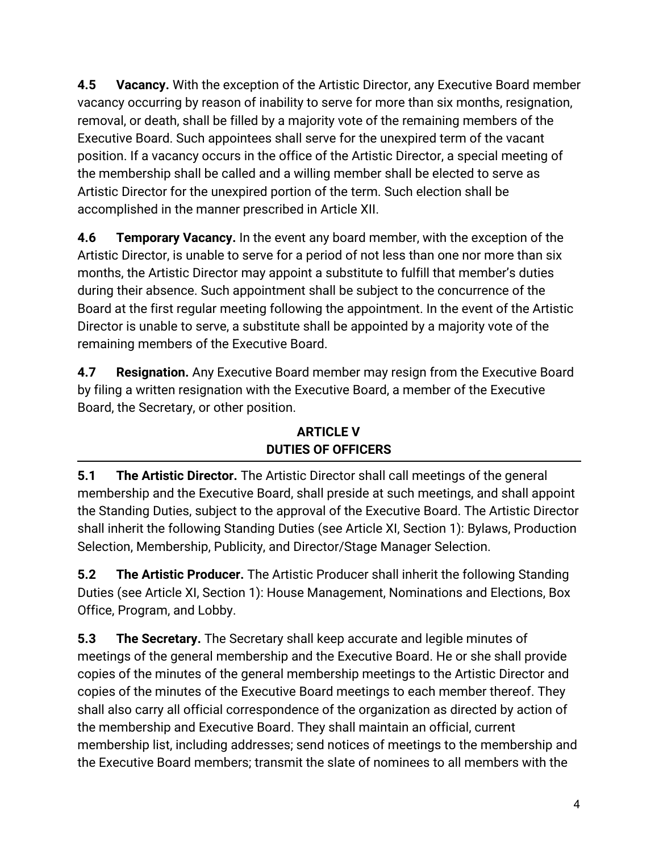**4.5 Vacancy.** With the exception of the Artistic Director, any Executive Board member vacancy occurring by reason of inability to serve for more than six months, resignation, removal, or death, shall be filled by a majority vote of the remaining members of the Executive Board. Such appointees shall serve for the unexpired term of the vacant position. If a vacancy occurs in the office of the Artistic Director, a special meeting of the membership shall be called and a willing member shall be elected to serve as Artistic Director for the unexpired portion of the term. Such election shall be accomplished in the manner prescribed in Article XII.

**4.6 Temporary Vacancy.** In the event any board member, with the exception of the Artistic Director, is unable to serve for a period of not less than one nor more than six months, the Artistic Director may appoint a substitute to fulfill that member's duties during their absence. Such appointment shall be subject to the concurrence of the Board at the first regular meeting following the appointment. In the event of the Artistic Director is unable to serve, a substitute shall be appointed by a majority vote of the remaining members of the Executive Board.

**4.7 Resignation.** Any Executive Board member may resign from the Executive Board by filing a written resignation with the Executive Board, a member of the Executive Board, the Secretary, or other position.

## **ARTICLE V DUTIES OF OFFICERS**

**5.1 The Artistic Director.** The Artistic Director shall call meetings of the general membership and the Executive Board, shall preside at such meetings, and shall appoint the Standing Duties, subject to the approval of the Executive Board. The Artistic Director shall inherit the following Standing Duties (see Article XI, Section 1): Bylaws, Production Selection, Membership, Publicity, and Director/Stage Manager Selection.

**5.2 The Artistic Producer.** The Artistic Producer shall inherit the following Standing Duties (see Article XI, Section 1): House Management, Nominations and Elections, Box Office, Program, and Lobby.

**5.3 The Secretary.** The Secretary shall keep accurate and legible minutes of meetings of the general membership and the Executive Board. He or she shall provide copies of the minutes of the general membership meetings to the Artistic Director and copies of the minutes of the Executive Board meetings to each member thereof. They shall also carry all official correspondence of the organization as directed by action of the membership and Executive Board. They shall maintain an official, current membership list, including addresses; send notices of meetings to the membership and the Executive Board members; transmit the slate of nominees to all members with the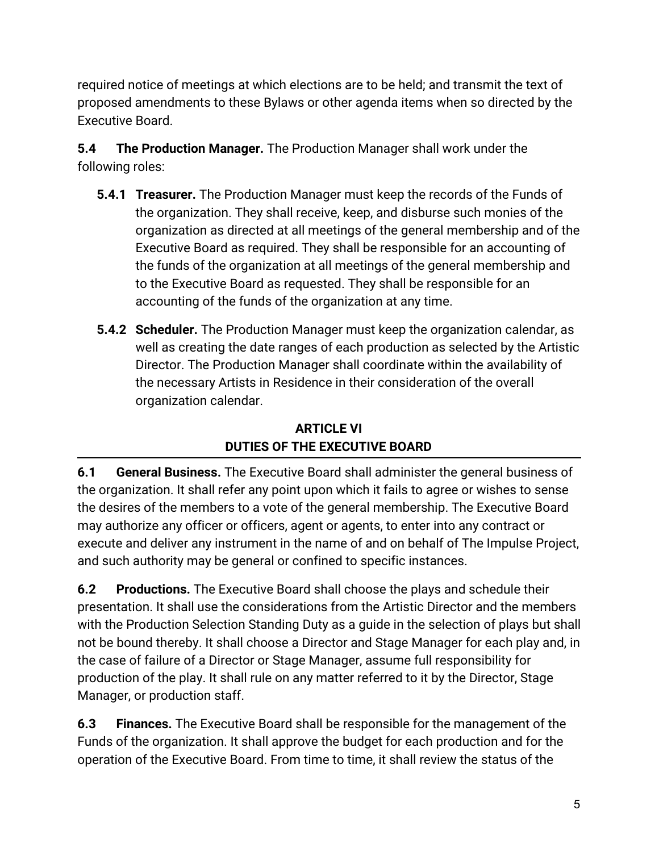required notice of meetings at which elections are to be held; and transmit the text of proposed amendments to these Bylaws or other agenda items when so directed by the Executive Board.

**5.4 The Production Manager.** The Production Manager shall work under the following roles:

- **5.4.1 Treasurer.** The Production Manager must keep the records of the Funds of the organization. They shall receive, keep, and disburse such monies of the organization as directed at all meetings of the general membership and of the Executive Board as required. They shall be responsible for an accounting of the funds of the organization at all meetings of the general membership and to the Executive Board as requested. They shall be responsible for an accounting of the funds of the organization at any time.
- **5.4.2 Scheduler.** The Production Manager must keep the organization calendar, as well as creating the date ranges of each production as selected by the Artistic Director. The Production Manager shall coordinate within the availability of the necessary Artists in Residence in their consideration of the overall organization calendar.

# **ARTICLE VI DUTIES OF THE EXECUTIVE BOARD**

**6.1 General Business.** The Executive Board shall administer the general business of the organization. It shall refer any point upon which it fails to agree or wishes to sense the desires of the members to a vote of the general membership.The Executive Board may authorize any officer or officers, agent or agents, to enter into any contract or execute and deliver any instrument in the name of and on behalf of The Impulse Project, and such authority may be general or confined to specific instances.

**6.2 Productions.** The Executive Board shall choose the plays and schedule their presentation. It shall use the considerations from the Artistic Director and the members with the Production Selection Standing Duty as a guide in the selection of plays but shall not be bound thereby. It shall choose a Director and Stage Manager for each play and, in the case of failure of a Director or Stage Manager, assume full responsibility for production of the play. It shall rule on any matter referred to it by the Director, Stage Manager, or production staff.

**6.3 Finances.** The Executive Board shall be responsible for the management of the Funds of the organization. It shall approve the budget for each production and for the operation of the Executive Board. From time to time, it shall review the status of the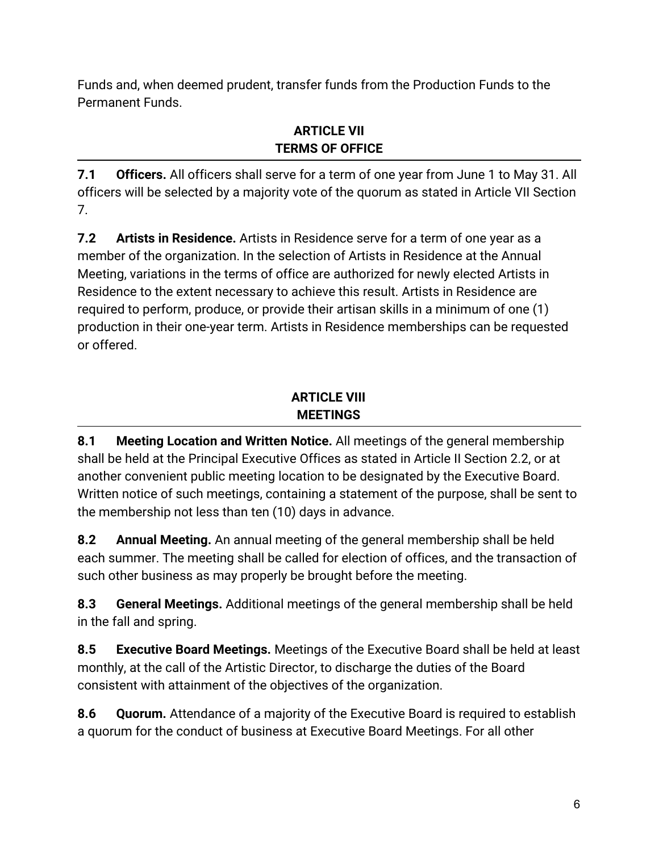Funds and, when deemed prudent, transfer funds from the Production Funds to the Permanent Funds.

### **ARTICLE VII TERMS OF OFFICE**

**7.1 Officers.** All officers shall serve for a term of one year from June 1 to May 31. All officers will be selected by a majority vote of the quorum as stated in Article VII Section 7.

**7.2 Artists in Residence.** Artists in Residence serve for a term of one year as a member of the organization. In the selection of Artists in Residence at the Annual Meeting, variations in the terms of office are authorized for newly elected Artists in Residence to the extent necessary to achieve this result. Artists in Residence are required to perform, produce, or provide their artisan skills in a minimum of one (1) production in their one-year term. Artists in Residence memberships can be requested or offered.

## **ARTICLE VIII MEETINGS**

**8.1 Meeting Location and Written Notice.** All meetings of the general membership shall be held at the Principal Executive Offices as stated in Article II Section 2.2, or at another convenient public meeting location to be designated by the Executive Board. Written notice of such meetings, containing a statement of the purpose, shall be sent to the membership not less than ten (10) days in advance.

**8.2 Annual Meeting.** An annual meeting of the general membership shall be held each summer. The meeting shall be called for election of offices, and the transaction of such other business as may properly be brought before the meeting.

**8.3 General Meetings.** Additionalmeetings of the general membership shall be held in the fall and spring.

**8.5 Executive Board Meetings.** Meetings of the Executive Board shall be held at least monthly, at the call of the Artistic Director, to discharge the duties of the Board consistent with attainment of the objectives of the organization.

**8.6 Quorum.** Attendance of a majority of the Executive Board is required to establish a quorum for the conduct of business at Executive Board Meetings. For all other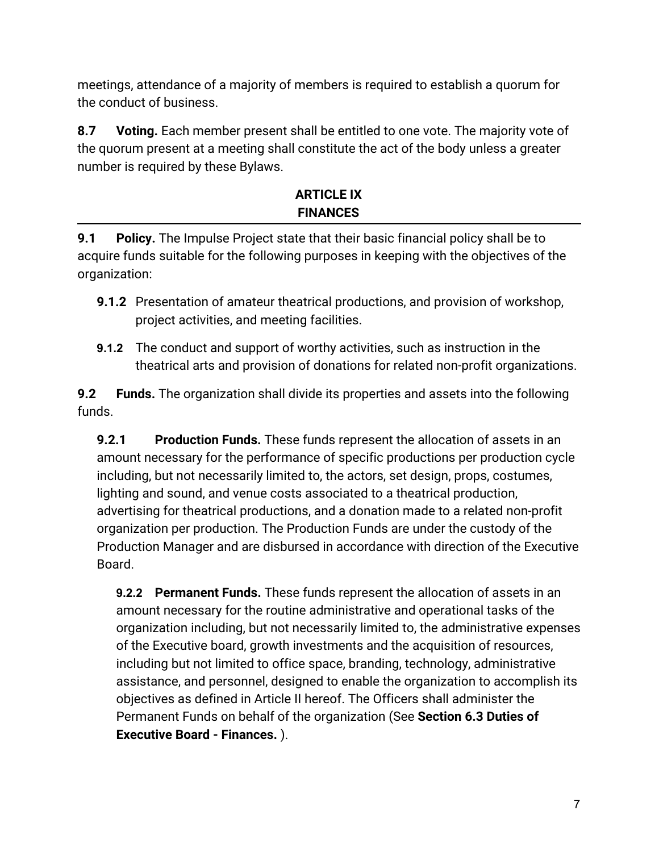meetings, attendance of a majority of members is required to establish a quorum for the conduct of business.

**8.7 Voting.** Each member present shall be entitled to one vote. The majority vote of the quorum present at a meeting shall constitute the act of the body unless a greater number is required by these Bylaws.

## **ARTICLE IX FINANCES**

**9.1 Policy.** The Impulse Project state that their basic financial policy shall be to acquire funds suitable for the following purposes in keeping with the objectives of the organization:

- **9.1.2** Presentation of amateur theatrical productions, and provision of workshop, project activities, and meeting facilities.
- **9.1.2** The conduct and support of worthy activities, such as instruction in the theatrical arts and provision of donations for related non-profit organizations.

**9.2 Funds.** The organization shall divide its properties and assets into the following funds.

**9.2.1 Production Funds.** These funds represent the allocation of assets in an amount necessary for the performance of specific productions per production cycle including, but not necessarily limited to, the actors, set design, props, costumes, lighting and sound, and venue costs associated to a theatrical production, advertising for theatrical productions, and a donation made to a related non-profit organization per production. The Production Funds are under the custody of the Production Manager and are disbursed in accordance with direction of the Executive Board.

**9.2.2 Permanent Funds.** These funds represent the allocation of assets in an amount necessary for the routine administrative and operational tasks of the organization including, but not necessarily limited to, the administrative expenses of the Executive board, growth investments and the acquisition of resources, including but not limited to office space, branding, technology, administrative assistance, and personnel, designed to enable the organization to accomplish its objectives as defined in Article II hereof. The Officers shall administer the Permanent Funds on behalf of the organization (See **Section 6.3 Duties of Executive Board - Finances.** ).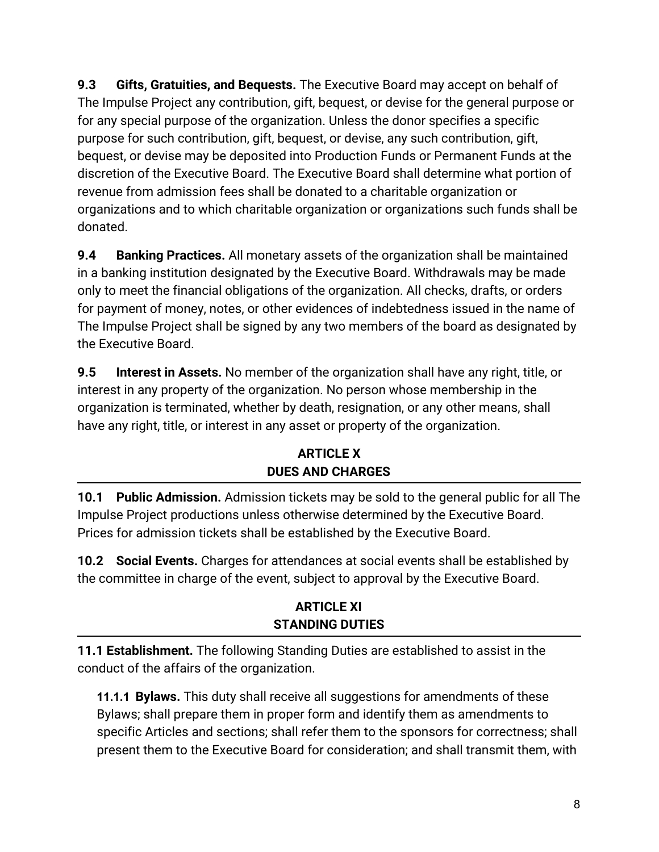**9.3 Gifts, Gratuities, and Bequests.** The Executive Board may accept on behalf of The Impulse Project any contribution, gift, bequest, or devise for the general purpose or for any special purpose of the organization. Unless the donor specifies a specific purpose for such contribution, gift, bequest, or devise, any such contribution, gift, bequest, or devise may be deposited into Production Funds or Permanent Funds at the discretion of the Executive Board. The Executive Board shall determine what portion of revenue from admission fees shall be donated to a charitable organization or organizations and to which charitable organization or organizations such funds shall be donated.

**9.4 Banking Practices.** All monetary assets of the organization shall be maintained in a banking institution designated by the Executive Board. Withdrawals may be made only to meet the financial obligations of the organization. All checks, drafts, or orders for payment of money, notes, or other evidences of indebtedness issued in the name of The Impulse Project shall be signed by any two members of the board as designated by the Executive Board.

**9.5 Interest in Assets.** No member of the organization shall have any right, title, or interest in any property of the organization. No person whose membership in the organization is terminated, whether by death, resignation, or any other means, shall have any right, title, or interest in any asset or property of the organization.

#### **ARTICLE X DUES AND CHARGES**

**10.1 Public Admission.** Admission tickets may be sold to the general public for all The Impulse Project productions unless otherwise determined by the Executive Board. Prices for admission tickets shall be established by the Executive Board.

**10.2 Social Events.** Charges for attendances at social events shall be established by the committee in charge of the event, subject to approval by the Executive Board.

## **ARTICLE XI STANDING DUTIES**

**11.1 Establishment.** The following Standing Duties are established to assist in the conduct of the affairs of the organization.

**11.1.1 Bylaws.** This duty shall receive all suggestions for amendments of these Bylaws; shall prepare them in proper form and identify them as amendments to specific Articles and sections; shall refer them to the sponsors for correctness; shall present them to the Executive Board for consideration; and shall transmit them, with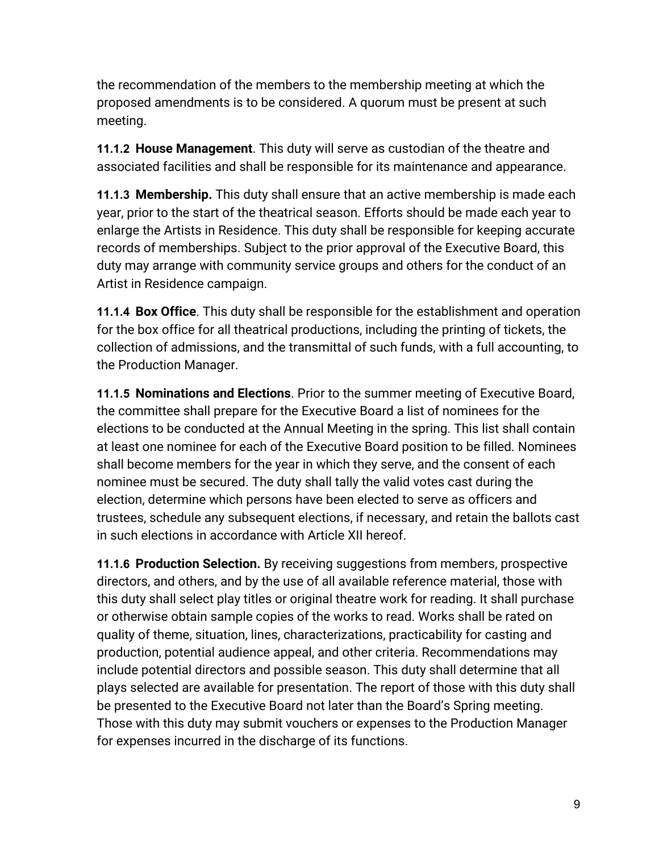the recommendation of the members to the membership meeting at which the proposed amendments is to be considered. A quorum must be present at such meeting.

**11.1.2 House Management**. This duty will serve as custodian of the theatre and associated facilities and shall be responsible for its maintenance and appearance.

**11.1.3 Membership.** This duty shall ensure that an active membership is made each year, prior to the start of the theatrical season. Efforts should be made each year to enlarge the Artists in Residence. This duty shall be responsible for keeping accurate records of memberships. Subject to the prior approval of the Executive Board, this duty may arrange with community service groups and others for the conduct of an Artist in Residence campaign.

**11.1.4 Box Office**. This duty shall be responsible for the establishment and operation for the box office for all theatrical productions, including the printing of tickets, the collection of admissions, and the transmittal of such funds, with a full accounting, to the Production Manager.

**11.1.5 Nominations and Elections**. Prior to the summer meeting of Executive Board, the committee shall prepare for the Executive Board a list of nominees for the elections to be conducted at the Annual Meeting in the spring. This list shall contain at least one nominee for each of the Executive Board position to be filled. Nominees shall become members for the year in which they serve, and the consent of each nominee must be secured. The duty shall tally the valid votes cast during the election, determine which persons have been elected to serve as officers and trustees, schedule any subsequent elections, if necessary, and retain the ballots cast in such elections in accordance with Article XII hereof.

**11.1.6 Production Selection.** By receiving suggestions from members, prospective directors, and others, and by the use of all available reference material, those with this duty shall select play titles or original theatre work for reading. It shall purchase or otherwise obtain sample copies of the works to read. Works shall be rated on quality of theme, situation, lines, characterizations, practicability for casting and production, potential audience appeal, and other criteria. Recommendations may include potential directors and possible season. This duty shall determine that all plays selected are available for presentation. The report of those with this duty shall be presented to the Executive Board not later than the Board's Spring meeting. Those with this duty may submit vouchers or expenses to the Production Manager for expenses incurred in the discharge of its functions.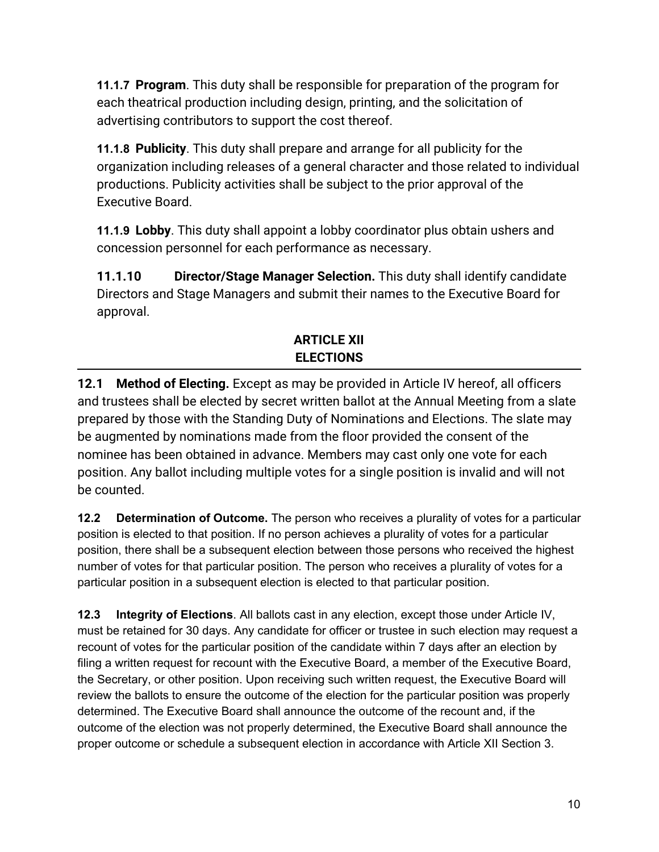**11.1.7 Program**. This duty shall be responsible for preparation of the program for each theatrical production including design, printing, and the solicitation of advertising contributors to support the cost thereof.

**11.1.8 Publicity**. This duty shall prepare and arrange for all publicity for the organization including releases of a general character and those related to individual productions. Publicity activities shall be subject to the prior approval of the Executive Board.

**11.1.9 Lobby**. This duty shall appoint a lobby coordinator plus obtain ushers and concession personnel for each performance as necessary.

**11.1.10 Director/Stage Manager Selection.** This duty shall identify candidate Directors and Stage Managers and submit their names to the Executive Board for approval.

## **ARTICLE XII ELECTIONS**

**12.1 Method of Electing.** Except as may be provided in Article IV hereof, all officers and trustees shall be elected by secret written ballot at the Annual Meeting from a slate prepared by those with the Standing Duty of Nominations and Elections. The slate may be augmented by nominations made from the floor provided the consent of the nominee has been obtained in advance.Members may cast only one vote for each position. Any ballot including multiple votes for a single position is invalid and will not be counted.

**12.2 Determination of Outcome.** The person who receives a plurality of votes for a particular position is elected to that position. If no person achieves a plurality of votes for a particular position, there shall be a subsequent election between those persons who received the highest number of votes for that particular position. The person who receives a plurality of votes for a particular position in a subsequent election is elected to that particular position.

**12.3 Integrity of Elections**. All ballots cast in any election, except those under Article IV, must be retained for 30 days. Any candidate for officer or trustee in such election may request a recount of votes for the particular position of the candidate within 7 days after an election by filing a written request for recount with the Executive Board, a member of the Executive Board, the Secretary, or other position. Upon receiving such written request, the Executive Board will review the ballots to ensure the outcome of the election for the particular position was properly determined. The Executive Board shall announce the outcome of the recount and, if the outcome of the election was not properly determined, the Executive Board shall announce the proper outcome or schedule a subsequent election in accordance with Article XII Section 3.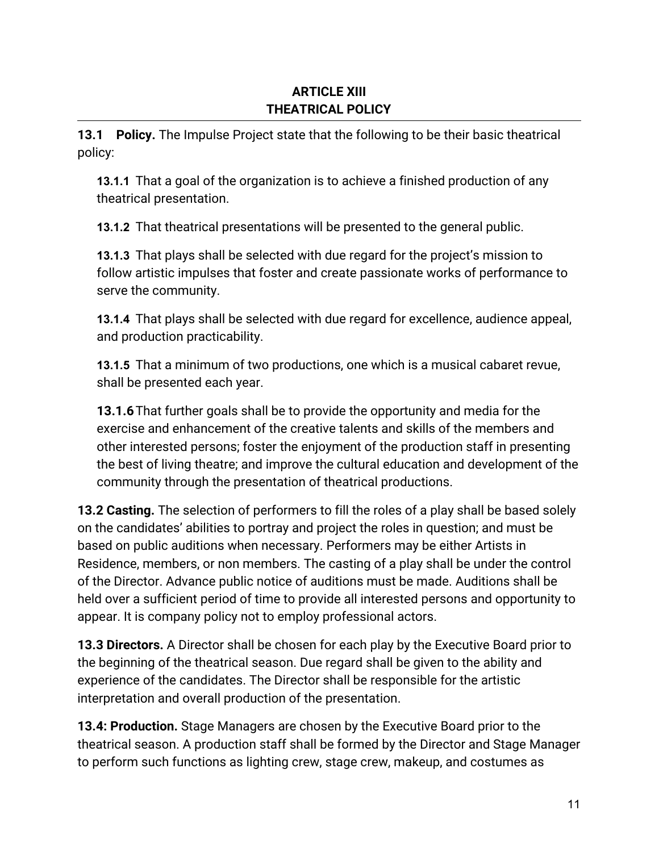#### **ARTICLE XIII THEATRICAL POLICY**

**13.1 Policy.** The Impulse Project state that the following to be their basic theatrical policy:

**13.1.1** That a goal of the organization is to achieve a finished production of any theatrical presentation.

**13.1.2** That theatrical presentations will be presented to the general public.

**13.1.3** That plays shall be selected with due regard for the project's mission to follow artistic impulses that foster and create passionate works of performance to serve the community.

**13.1.4** That plays shall be selected with due regard for excellence, audience appeal, and production practicability.

**13.1.5** That a minimum of two productions, one which is a musical cabaret revue, shall be presented each year.

**13.1.6**That further goals shall be to provide the opportunity and media for the exercise and enhancement of the creative talents and skills of the members and other interested persons; foster the enjoyment of the production staff in presenting the best of living theatre; and improve the cultural education and development of the community through the presentation of theatrical productions.

**13.2 Casting.** The selection of performers to fill the roles of a play shall be based solely on the candidates' abilities to portray and project the roles in question; and must be based on public auditions when necessary. Performers may be either Artists in Residence, members, or non members. The casting of a play shall be under the control of the Director. Advance public notice of auditions must be made. Auditions shall be held over a sufficient period of time to provide all interested persons and opportunity to appear. It is company policy not to employ professional actors.

**13.3 Directors.** A Director shall be chosen for each play by the Executive Board prior to the beginning of the theatrical season. Due regard shall be given to the ability and experience of the candidates. The Director shall be responsible for the artistic interpretation and overall production of the presentation.

**13.4: Production.** Stage Managers are chosen by the Executive Board prior to the theatrical season. A production staff shall be formed by the Director and Stage Manager to perform such functions as lighting crew, stage crew, makeup, and costumes as